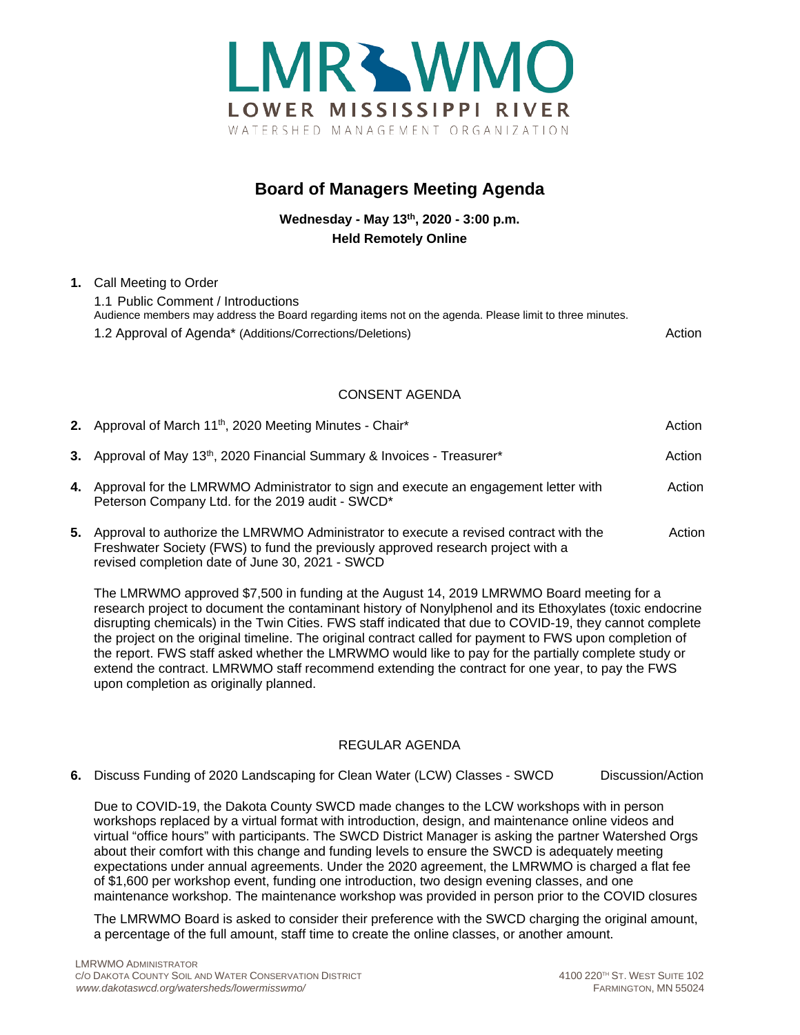

## **Board of Managers Meeting Agenda**

**Wednesday - May 13th, 2020 - 3:00 p.m. Held Remotely Online**

## **1.** Call Meeting to Order

1.1 Public Comment / Introductions Audience members may address the Board regarding items not on the agenda. Please limit to three minutes. 1.2 Approval of Agenda\* (Additions/Corrections/Deletions) Action

## CONSENT AGENDA

|    | 2. Approval of March 11 <sup>th</sup> , 2020 Meeting Minutes - Chair*                                                                                                                                                        | Action |
|----|------------------------------------------------------------------------------------------------------------------------------------------------------------------------------------------------------------------------------|--------|
|    | 3. Approval of May 13 <sup>th</sup> , 2020 Financial Summary & Invoices - Treasurer*                                                                                                                                         | Action |
| 4. | Approval for the LMRWMO Administrator to sign and execute an engagement letter with<br>Peterson Company Ltd. for the 2019 audit - SWCD*                                                                                      | Action |
| 5. | Approval to authorize the LMRWMO Administrator to execute a revised contract with the<br>Freshwater Society (FWS) to fund the previously approved research project with a<br>revised completion date of June 30, 2021 - SWCD | Action |

The LMRWMO approved \$7,500 in funding at the August 14, 2019 LMRWMO Board meeting for a research project to document the contaminant history of Nonylphenol and its Ethoxylates (toxic endocrine disrupting chemicals) in the Twin Cities. FWS staff indicated that due to COVID-19, they cannot complete the project on the original timeline. The original contract called for payment to FWS upon completion of the report. FWS staff asked whether the LMRWMO would like to pay for the partially complete study or extend the contract. LMRWMO staff recommend extending the contract for one year, to pay the FWS upon completion as originally planned.

## REGULAR AGENDA

**6.** Discuss Funding of 2020 Landscaping for Clean Water (LCW) Classes - SWCD Discussion/Action

Due to COVID-19, the Dakota County SWCD made changes to the LCW workshops with in person workshops replaced by a virtual format with introduction, design, and maintenance online videos and virtual "office hours" with participants. The SWCD District Manager is asking the partner Watershed Orgs about their comfort with this change and funding levels to ensure the SWCD is adequately meeting expectations under annual agreements. Under the 2020 agreement, the LMRWMO is charged a flat fee of \$1,600 per workshop event, funding one introduction, two design evening classes, and one maintenance workshop. The maintenance workshop was provided in person prior to the COVID closures

The LMRWMO Board is asked to consider their preference with the SWCD charging the original amount, a percentage of the full amount, staff time to create the online classes, or another amount.